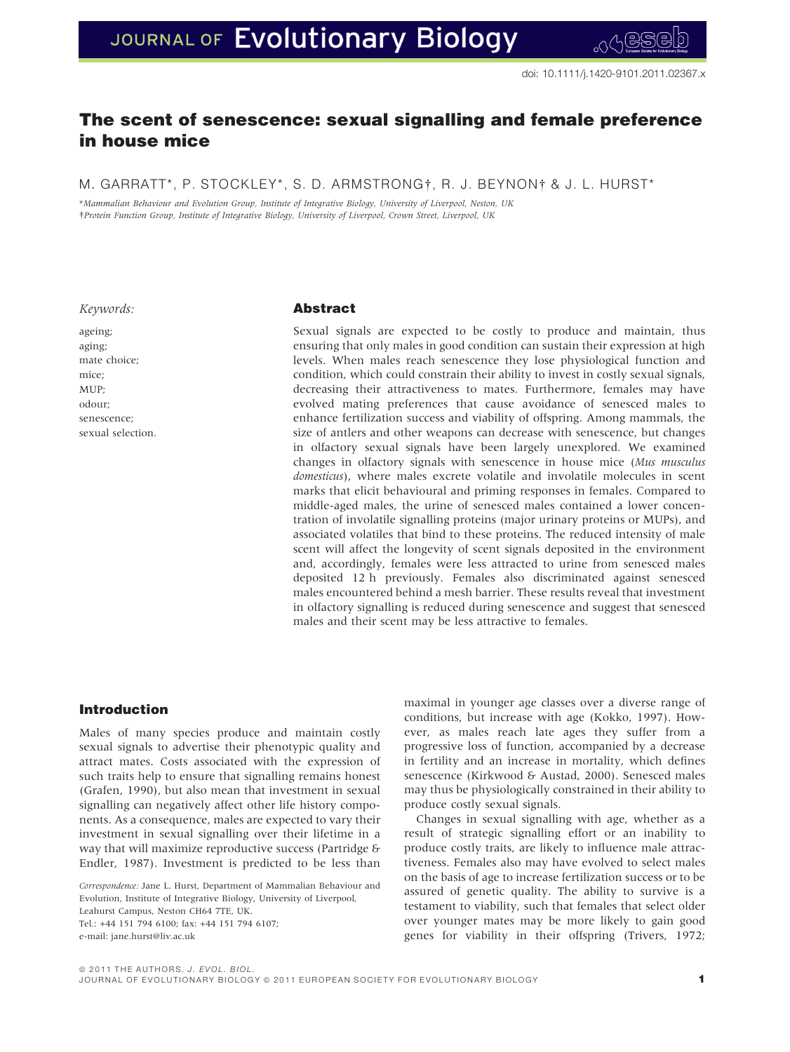# The scent of senescence: sexual signalling and female preference in house mice

M. GARRATT\*, P. STOCKLEY\*, S. D. ARMSTRONG†, R. J. BEYNON† & J. L. HURST\*

\*Mammalian Behaviour and Evolution Group, Institute of Integrative Biology, University of Liverpool, Neston, UK !Protein Function Group, Institute of Integrative Biology, University of Liverpool, Crown Street, Liverpool, UK

Keywords:

ageing; aging; mate choice; mice; MUP; odour; senescence; sexual selection.

### Abstract

Sexual signals are expected to be costly to produce and maintain, thus ensuring that only males in good condition can sustain their expression at high levels. When males reach senescence they lose physiological function and condition, which could constrain their ability to invest in costly sexual signals, decreasing their attractiveness to mates. Furthermore, females may have evolved mating preferences that cause avoidance of senesced males to enhance fertilization success and viability of offspring. Among mammals, the size of antlers and other weapons can decrease with senescence, but changes in olfactory sexual signals have been largely unexplored. We examined changes in olfactory signals with senescence in house mice (Mus musculus domesticus), where males excrete volatile and involatile molecules in scent marks that elicit behavioural and priming responses in females. Compared to middle-aged males, the urine of senesced males contained a lower concentration of involatile signalling proteins (major urinary proteins or MUPs), and associated volatiles that bind to these proteins. The reduced intensity of male scent will affect the longevity of scent signals deposited in the environment and, accordingly, females were less attracted to urine from senesced males deposited 12 h previously. Females also discriminated against senesced males encountered behind a mesh barrier. These results reveal that investment in olfactory signalling is reduced during senescence and suggest that senesced males and their scent may be less attractive to females.

# Introduction

Males of many species produce and maintain costly sexual signals to advertise their phenotypic quality and attract mates. Costs associated with the expression of such traits help to ensure that signalling remains honest (Grafen, 1990), but also mean that investment in sexual signalling can negatively affect other life history components. As a consequence, males are expected to vary their investment in sexual signalling over their lifetime in a way that will maximize reproductive success (Partridge & Endler, 1987). Investment is predicted to be less than

Correspondence: Jane L. Hurst, Department of Mammalian Behaviour and Evolution, Institute of Integrative Biology, University of Liverpool, Leahurst Campus, Neston CH64 7TE, UK. Tel.: +44 151 794 6100; fax: +44 151 794 6107; e-mail: jane.hurst@liv.ac.uk

maximal in younger age classes over a diverse range of conditions, but increase with age (Kokko, 1997). However, as males reach late ages they suffer from a progressive loss of function, accompanied by a decrease in fertility and an increase in mortality, which defines senescence (Kirkwood & Austad, 2000). Senesced males may thus be physiologically constrained in their ability to produce costly sexual signals.

Changes in sexual signalling with age, whether as a result of strategic signalling effort or an inability to produce costly traits, are likely to influence male attractiveness. Females also may have evolved to select males on the basis of age to increase fertilization success or to be assured of genetic quality. The ability to survive is a testament to viability, such that females that select older over younger mates may be more likely to gain good genes for viability in their offspring (Trivers, 1972;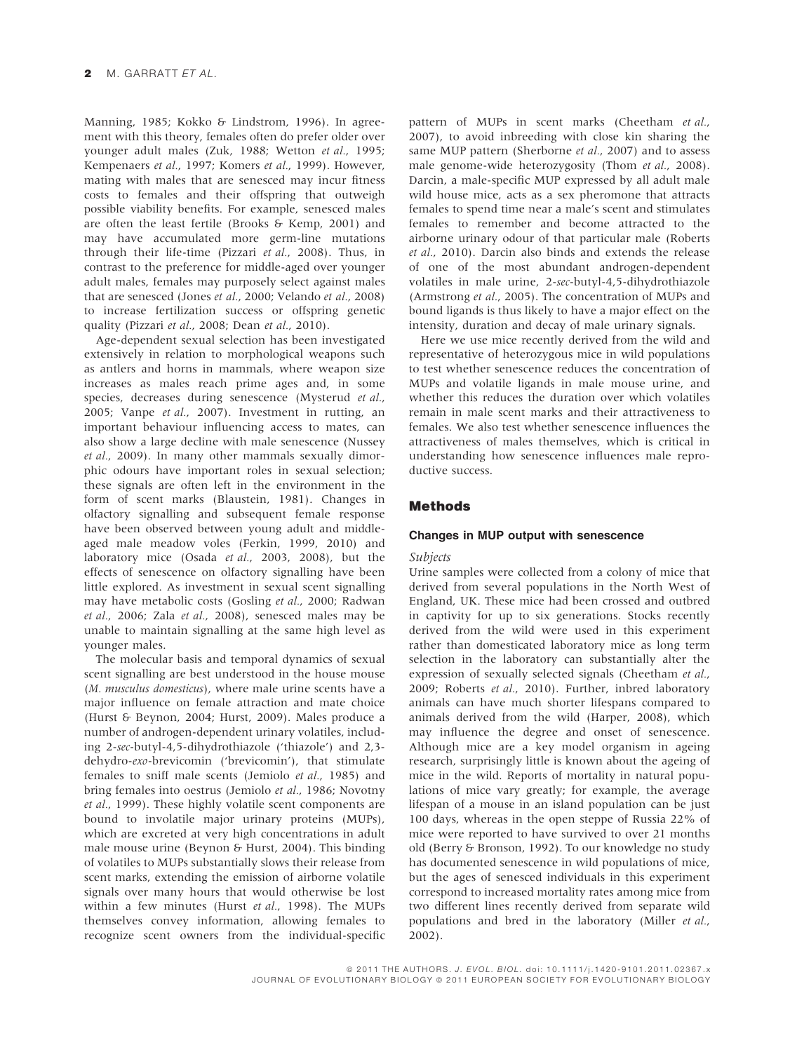Manning, 1985; Kokko & Lindstrom, 1996). In agreement with this theory, females often do prefer older over younger adult males (Zuk, 1988; Wetton et al., 1995; Kempenaers et al., 1997; Komers et al., 1999). However, mating with males that are senesced may incur fitness costs to females and their offspring that outweigh possible viability benefits. For example, senesced males are often the least fertile (Brooks & Kemp, 2001) and may have accumulated more germ-line mutations through their life-time (Pizzari et al., 2008). Thus, in contrast to the preference for middle-aged over younger adult males, females may purposely select against males that are senesced (Jones et al., 2000; Velando et al., 2008) to increase fertilization success or offspring genetic quality (Pizzari et al., 2008; Dean et al., 2010).

Age-dependent sexual selection has been investigated extensively in relation to morphological weapons such as antlers and horns in mammals, where weapon size increases as males reach prime ages and, in some species, decreases during senescence (Mysterud et al., 2005; Vanpe et al., 2007). Investment in rutting, an important behaviour influencing access to mates, can also show a large decline with male senescence (Nussey et al., 2009). In many other mammals sexually dimorphic odours have important roles in sexual selection; these signals are often left in the environment in the form of scent marks (Blaustein, 1981). Changes in olfactory signalling and subsequent female response have been observed between young adult and middleaged male meadow voles (Ferkin, 1999, 2010) and laboratory mice (Osada et al., 2003, 2008), but the effects of senescence on olfactory signalling have been little explored. As investment in sexual scent signalling may have metabolic costs (Gosling et al., 2000; Radwan et al., 2006; Zala et al., 2008), senesced males may be unable to maintain signalling at the same high level as younger males.

The molecular basis and temporal dynamics of sexual scent signalling are best understood in the house mouse (M. musculus domesticus), where male urine scents have a major influence on female attraction and mate choice (Hurst & Beynon, 2004; Hurst, 2009). Males produce a number of androgen-dependent urinary volatiles, including 2-sec-butyl-4,5-dihydrothiazole ('thiazole') and 2,3 dehydro-exo-brevicomin ('brevicomin'), that stimulate females to sniff male scents (Jemiolo et al., 1985) and bring females into oestrus (Jemiolo et al., 1986; Novotny et al., 1999). These highly volatile scent components are bound to involatile major urinary proteins (MUPs), which are excreted at very high concentrations in adult male mouse urine (Beynon & Hurst, 2004). This binding of volatiles to MUPs substantially slows their release from scent marks, extending the emission of airborne volatile signals over many hours that would otherwise be lost within a few minutes (Hurst et al., 1998). The MUPs themselves convey information, allowing females to recognize scent owners from the individual-specific

pattern of MUPs in scent marks (Cheetham et al., 2007), to avoid inbreeding with close kin sharing the same MUP pattern (Sherborne *et al.*, 2007) and to assess male genome-wide heterozygosity (Thom et al., 2008). Darcin, a male-specific MUP expressed by all adult male wild house mice, acts as a sex pheromone that attracts females to spend time near a male's scent and stimulates females to remember and become attracted to the airborne urinary odour of that particular male (Roberts et al., 2010). Darcin also binds and extends the release of one of the most abundant androgen-dependent volatiles in male urine, 2-sec-butyl-4,5-dihydrothiazole (Armstrong et al., 2005). The concentration of MUPs and bound ligands is thus likely to have a major effect on the intensity, duration and decay of male urinary signals.

Here we use mice recently derived from the wild and representative of heterozygous mice in wild populations to test whether senescence reduces the concentration of MUPs and volatile ligands in male mouse urine, and whether this reduces the duration over which volatiles remain in male scent marks and their attractiveness to females. We also test whether senescence influences the attractiveness of males themselves, which is critical in understanding how senescence influences male reproductive success.

# Methods

#### Changes in MUP output with senescence

# Subjects

Urine samples were collected from a colony of mice that derived from several populations in the North West of England, UK. These mice had been crossed and outbred in captivity for up to six generations. Stocks recently derived from the wild were used in this experiment rather than domesticated laboratory mice as long term selection in the laboratory can substantially alter the expression of sexually selected signals (Cheetham et al., 2009; Roberts et al., 2010). Further, inbred laboratory animals can have much shorter lifespans compared to animals derived from the wild (Harper, 2008), which may influence the degree and onset of senescence. Although mice are a key model organism in ageing research, surprisingly little is known about the ageing of mice in the wild. Reports of mortality in natural populations of mice vary greatly; for example, the average lifespan of a mouse in an island population can be just 100 days, whereas in the open steppe of Russia 22% of mice were reported to have survived to over 21 months old (Berry & Bronson, 1992). To our knowledge no study has documented senescence in wild populations of mice, but the ages of senesced individuals in this experiment correspond to increased mortality rates among mice from two different lines recently derived from separate wild populations and bred in the laboratory (Miller et al., 2002).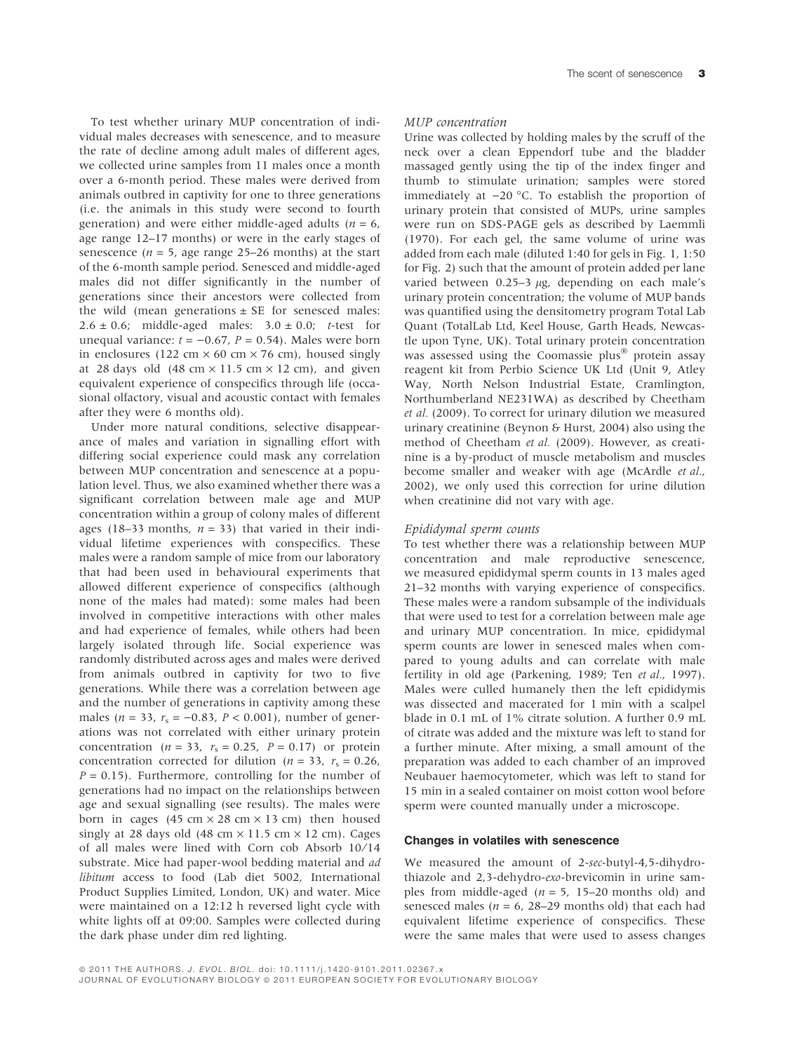To test whether urinary MUP concentration of individual males decreases with senescence, and to measure the rate of decline among adult males of different ages, we collected urine samples from 11 males once a month over a 6-month period. These males were derived from animals outbred in captivity for one to three generations (i.e. the animals in this study were second to fourth generation) and were either middle-aged adults ( $n = 6$ , age range 12–17 months) or were in the early stages of senescence ( $n = 5$ , age range 25–26 months) at the start of the 6-month sample period. Senesced and middle-aged males did not differ significantly in the number of generations since their ancestors were collected from the wild (mean generations  $\pm$  SE for senesced males:  $2.6 \pm 0.6$ ; middle-aged males:  $3.0 \pm 0.0$ ; t-test for unequal variance:  $t = -0.67$ ,  $P = 0.54$ ). Males were born in enclosures (122 cm  $\times$  60 cm  $\times$  76 cm), housed singly at 28 days old  $(48 \text{ cm} \times 11.5 \text{ cm} \times 12 \text{ cm})$ , and given equivalent experience of conspecifics through life (occasional olfactory, visual and acoustic contact with females after they were 6 months old).

Under more natural conditions, selective disappearance of males and variation in signalling effort with differing social experience could mask any correlation between MUP concentration and senescence at a population level. Thus, we also examined whether there was a significant correlation between male age and MUP concentration within a group of colony males of different ages (18–33 months,  $n = 33$ ) that varied in their individual lifetime experiences with conspecifics. These males were a random sample of mice from our laboratory that had been used in behavioural experiments that allowed different experience of conspecifics (although none of the males had mated): some males had been involved in competitive interactions with other males and had experience of females, while others had been largely isolated through life. Social experience was randomly distributed across ages and males were derived from animals outbred in captivity for two to five generations. While there was a correlation between age and the number of generations in captivity among these males ( $n = 33$ ,  $r_s = -0.83$ ,  $P < 0.001$ ), number of generations was not correlated with either urinary protein concentration ( $n = 33$ ,  $r_s = 0.25$ ,  $P = 0.17$ ) or protein concentration corrected for dilution ( $n = 33$ ,  $r_s = 0.26$ ,  $P = 0.15$ ). Furthermore, controlling for the number of generations had no impact on the relationships between age and sexual signalling (see results). The males were born in cages  $(45 \text{ cm} \times 28 \text{ cm} \times 13 \text{ cm})$  then housed singly at 28 days old  $(48 \text{ cm} \times 11.5 \text{ cm} \times 12 \text{ cm})$ . Cages of all males were lined with Corn cob Absorb 10/14 substrate. Mice had paper-wool bedding material and ad libitum access to food (Lab diet 5002, International Product Supplies Limited, London, UK) and water. Mice were maintained on a 12:12 h reversed light cycle with white lights off at 09:00. Samples were collected during the dark phase under dim red lighting.

#### MUP concentration

Urine was collected by holding males by the scruff of the neck over a clean Eppendorf tube and the bladder massaged gently using the tip of the index finger and thumb to stimulate urination; samples were stored immediately at  $-20$  °C. To establish the proportion of urinary protein that consisted of MUPs, urine samples were run on SDS-PAGE gels as described by Laemmli (1970). For each gel, the same volume of urine was added from each male (diluted 1:40 for gels in Fig. 1, 1:50 for Fig. 2) such that the amount of protein added per lane varied between  $0.25-3 \mu$ g, depending on each male's urinary protein concentration; the volume of MUP bands was quantified using the densitometry program Total Lab Quant (TotalLab Ltd, Keel House, Garth Heads, Newcastle upon Tyne, UK). Total urinary protein concentration was assessed using the Coomassie plus<sup>®</sup> protein assay reagent kit from Perbio Science UK Ltd (Unit 9, Atley Way, North Nelson Industrial Estate, Cramlington, Northumberland NE231WA) as described by Cheetham et al. (2009). To correct for urinary dilution we measured urinary creatinine (Beynon & Hurst, 2004) also using the method of Cheetham et al. (2009). However, as creatinine is a by-product of muscle metabolism and muscles become smaller and weaker with age (McArdle et al., 2002), we only used this correction for urine dilution when creatinine did not vary with age.

#### Epididymal sperm counts

To test whether there was a relationship between MUP concentration and male reproductive senescence, we measured epididymal sperm counts in 13 males aged 21–32 months with varying experience of conspecifics. These males were a random subsample of the individuals that were used to test for a correlation between male age and urinary MUP concentration. In mice, epididymal sperm counts are lower in senesced males when compared to young adults and can correlate with male fertility in old age (Parkening, 1989; Ten et al., 1997). Males were culled humanely then the left epididymis was dissected and macerated for 1 min with a scalpel blade in 0.1 mL of 1% citrate solution. A further 0.9 mL of citrate was added and the mixture was left to stand for a further minute. After mixing, a small amount of the preparation was added to each chamber of an improved Neubauer haemocytometer, which was left to stand for 15 min in a sealed container on moist cotton wool before sperm were counted manually under a microscope.

#### Changes in volatiles with senescence

We measured the amount of 2-sec-butyl-4,5-dihydrothiazole and 2,3-dehydro-exo-brevicomin in urine samples from middle-aged ( $n = 5$ , 15–20 months old) and senesced males ( $n = 6$ , 28–29 months old) that each had equivalent lifetime experience of conspecifics. These were the same males that were used to assess changes

ª 2011 THE AUTHORS. J. EVOL. BIOL. doi: 10.1111/j.1420-9101.2011.02367.x

JOURNAL OF EVOLUTIONARY BIOLOGY ª 2011 EUROPEAN SOCIETY FOR EVOLUTIONARY BIOLOGY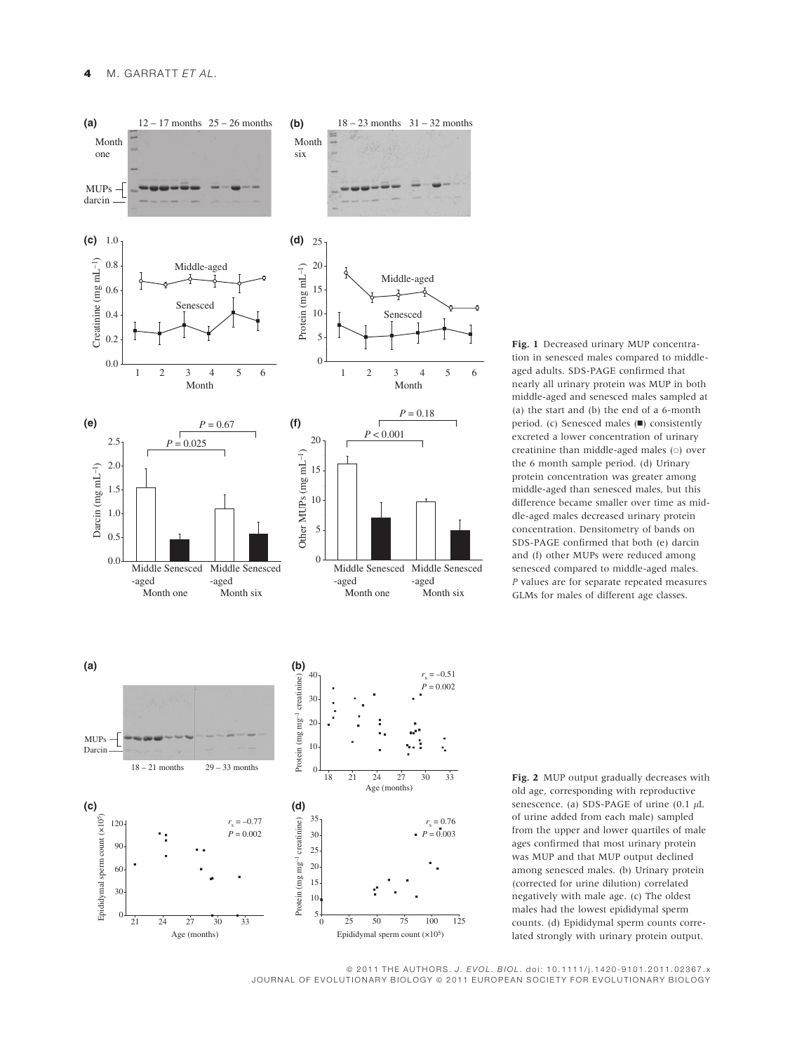

Fig. 1 Decreased urinary MUP concentration in senesced males compared to middleaged adults. SDS-PAGE confirmed that nearly all urinary protein was MUP in both middle-aged and senesced males sampled at (a) the start and (b) the end of a 6-month period. (c) Senesced males  $(\blacksquare)$  consistently excreted a lower concentration of urinary creatinine than middle-aged males  $( \circ )$  over the 6 month sample period. (d) Urinary protein concentration was greater among middle-aged than senesced males, but this difference became smaller over time as middle-aged males decreased urinary protein concentration. Densitometry of bands on SDS-PAGE confirmed that both (e) darcin and (f) other MUPs were reduced among senesced compared to middle-aged males. P values are for separate repeated measures GLMs for males of different age classes.

Fig. 2 MUP output gradually decreases with old age, corresponding with reproductive senescence. (a) SDS-PAGE of urine (0.1  $\mu$ L of urine added from each male) sampled from the upper and lower quartiles of male ages confirmed that most urinary protein was MUP and that MUP output declined among senesced males. (b) Urinary protein (corrected for urine dilution) correlated negatively with male age. (c) The oldest males had the lowest epididymal sperm counts. (d) Epididymal sperm counts correlated strongly with urinary protein output.

ª 2011 THE AUTHORS. J. EVOL. BIOL. doi: 10.1111/j.1420-9101.2011.02367.x JOURNAL OF EVOLUTIONARY BIOLOGY ª 2011 EUROPEAN SOCIETY FOR EVOLUTIONARY BIOLOGY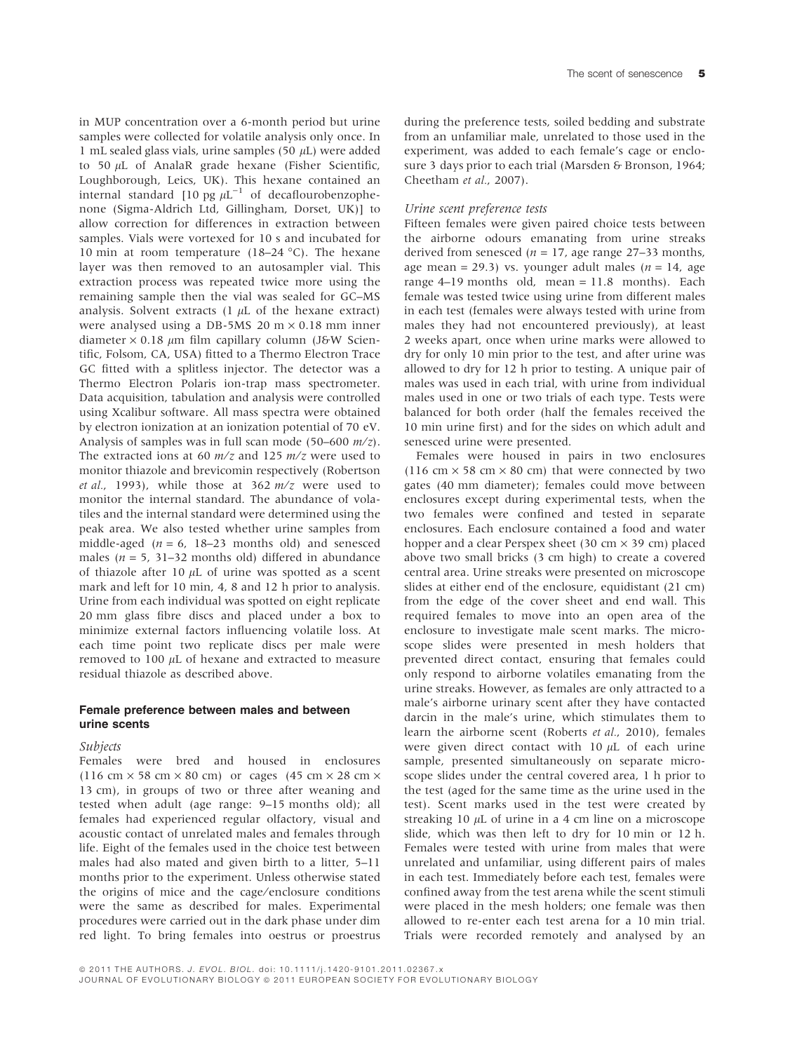in MUP concentration over a 6-month period but urine samples were collected for volatile analysis only once. In 1 mL sealed glass vials, urine samples (50  $\mu$ L) were added to 50  $\mu$ L of AnalaR grade hexane (Fisher Scientific, Loughborough, Leics, UK). This hexane contained an internal standard  $[10 \text{ pg } \mu L^{-1}$  of decaflourobenzophenone (Sigma-Aldrich Ltd, Gillingham, Dorset, UK)] to allow correction for differences in extraction between samples. Vials were vortexed for 10 s and incubated for 10 min at room temperature (18–24  $^{\circ}$ C). The hexane layer was then removed to an autosampler vial. This extraction process was repeated twice more using the remaining sample then the vial was sealed for GC–MS analysis. Solvent extracts  $(1 \mu L)$  of the hexane extract) were analysed using a DB-5MS 20 m  $\times$  0.18 mm inner diameter  $\times$  0.18  $\mu$ m film capillary column (J&W Scientific, Folsom, CA, USA) fitted to a Thermo Electron Trace GC fitted with a splitless injector. The detector was a Thermo Electron Polaris ion-trap mass spectrometer. Data acquisition, tabulation and analysis were controlled using Xcalibur software. All mass spectra were obtained by electron ionization at an ionization potential of 70 eV. Analysis of samples was in full scan mode (50–600  $m/z$ ). The extracted ions at 60  $m/z$  and 125  $m/z$  were used to monitor thiazole and brevicomin respectively (Robertson et al., 1993), while those at  $362 \frac{m}{z}$  were used to monitor the internal standard. The abundance of volatiles and the internal standard were determined using the peak area. We also tested whether urine samples from middle-aged ( $n = 6$ , 18–23 months old) and senesced males ( $n = 5$ , 31–32 months old) differed in abundance of thiazole after 10  $\mu$ L of urine was spotted as a scent mark and left for 10 min, 4, 8 and 12 h prior to analysis. Urine from each individual was spotted on eight replicate 20 mm glass fibre discs and placed under a box to minimize external factors influencing volatile loss. At each time point two replicate discs per male were removed to 100 µL of hexane and extracted to measure residual thiazole as described above.

# Female preference between males and between urine scents

### Subjects

Females were bred and housed in enclosures (116 cm  $\times$  58 cm  $\times$  80 cm) or cages (45 cm  $\times$  28 cm  $\times$ 13 cm), in groups of two or three after weaning and tested when adult (age range: 9–15 months old); all females had experienced regular olfactory, visual and acoustic contact of unrelated males and females through life. Eight of the females used in the choice test between males had also mated and given birth to a litter, 5–11 months prior to the experiment. Unless otherwise stated the origins of mice and the cage/enclosure conditions were the same as described for males. Experimental procedures were carried out in the dark phase under dim red light. To bring females into oestrus or proestrus during the preference tests, soiled bedding and substrate from an unfamiliar male, unrelated to those used in the experiment, was added to each female's cage or enclosure 3 days prior to each trial (Marsden & Bronson, 1964; Cheetham et al., 2007).

#### Urine scent preference tests

Fifteen females were given paired choice tests between the airborne odours emanating from urine streaks derived from senesced ( $n = 17$ , age range 27–33 months, age mean = 29.3) vs. younger adult males ( $n = 14$ , age range 4–19 months old, mean = 11.8 months). Each female was tested twice using urine from different males in each test (females were always tested with urine from males they had not encountered previously), at least 2 weeks apart, once when urine marks were allowed to dry for only 10 min prior to the test, and after urine was allowed to dry for 12 h prior to testing. A unique pair of males was used in each trial, with urine from individual males used in one or two trials of each type. Tests were balanced for both order (half the females received the 10 min urine first) and for the sides on which adult and senesced urine were presented.

Females were housed in pairs in two enclosures (116 cm  $\times$  58 cm  $\times$  80 cm) that were connected by two gates (40 mm diameter); females could move between enclosures except during experimental tests, when the two females were confined and tested in separate enclosures. Each enclosure contained a food and water hopper and a clear Perspex sheet (30 cm  $\times$  39 cm) placed above two small bricks (3 cm high) to create a covered central area. Urine streaks were presented on microscope slides at either end of the enclosure, equidistant (21 cm) from the edge of the cover sheet and end wall. This required females to move into an open area of the enclosure to investigate male scent marks. The microscope slides were presented in mesh holders that prevented direct contact, ensuring that females could only respond to airborne volatiles emanating from the urine streaks. However, as females are only attracted to a male's airborne urinary scent after they have contacted darcin in the male's urine, which stimulates them to learn the airborne scent (Roberts et al., 2010), females were given direct contact with  $10 \mu L$  of each urine sample, presented simultaneously on separate microscope slides under the central covered area, 1 h prior to the test (aged for the same time as the urine used in the test). Scent marks used in the test were created by streaking 10  $\mu$ L of urine in a 4 cm line on a microscope slide, which was then left to dry for 10 min or 12 h. Females were tested with urine from males that were unrelated and unfamiliar, using different pairs of males in each test. Immediately before each test, females were confined away from the test arena while the scent stimuli were placed in the mesh holders; one female was then allowed to re-enter each test arena for a 10 min trial. Trials were recorded remotely and analysed by an

JOURNAL OF EVOLUTIONARY BIOLOGY @ 2011 EUROPEAN SOCIETY FOR EVOLUTIONARY BIOLOGY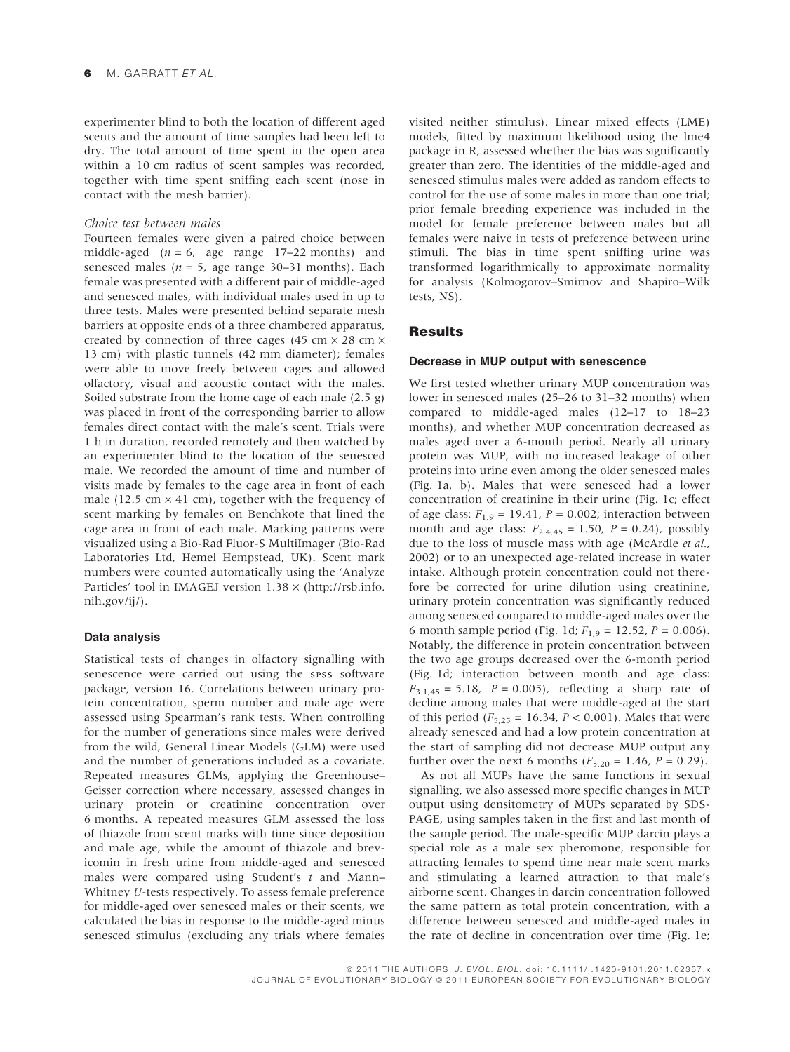experimenter blind to both the location of different aged scents and the amount of time samples had been left to dry. The total amount of time spent in the open area within a 10 cm radius of scent samples was recorded, together with time spent sniffing each scent (nose in contact with the mesh barrier).

#### Choice test between males

Fourteen females were given a paired choice between middle-aged ( $n = 6$ , age range 17–22 months) and senesced males ( $n = 5$ , age range 30–31 months). Each female was presented with a different pair of middle-aged and senesced males, with individual males used in up to three tests. Males were presented behind separate mesh barriers at opposite ends of a three chambered apparatus, created by connection of three cages (45 cm  $\times$  28 cm  $\times$ 13 cm) with plastic tunnels (42 mm diameter); females were able to move freely between cages and allowed olfactory, visual and acoustic contact with the males. Soiled substrate from the home cage of each male (2.5 g) was placed in front of the corresponding barrier to allow females direct contact with the male's scent. Trials were 1 h in duration, recorded remotely and then watched by an experimenter blind to the location of the senesced male. We recorded the amount of time and number of visits made by females to the cage area in front of each male (12.5 cm  $\times$  41 cm), together with the frequency of scent marking by females on Benchkote that lined the cage area in front of each male. Marking patterns were visualized using a Bio-Rad Fluor-S MultiImager (Bio-Rad Laboratories Ltd, Hemel Hempstead, UK). Scent mark numbers were counted automatically using the 'Analyze Particles' tool in IMAGEJ version  $1.38 \times (http://rsb.info.$ nih.gov/ij/).

#### Data analysis

Statistical tests of changes in olfactory signalling with senescence were carried out using the spss software package, version 16. Correlations between urinary protein concentration, sperm number and male age were assessed using Spearman's rank tests. When controlling for the number of generations since males were derived from the wild, General Linear Models (GLM) were used and the number of generations included as a covariate. Repeated measures GLMs, applying the Greenhouse– Geisser correction where necessary, assessed changes in urinary protein or creatinine concentration over 6 months. A repeated measures GLM assessed the loss of thiazole from scent marks with time since deposition and male age, while the amount of thiazole and brevicomin in fresh urine from middle-aged and senesced males were compared using Student's t and Mann– Whitney U-tests respectively. To assess female preference for middle-aged over senesced males or their scents, we calculated the bias in response to the middle-aged minus senesced stimulus (excluding any trials where females visited neither stimulus). Linear mixed effects (LME) models, fitted by maximum likelihood using the lme4 package in R, assessed whether the bias was significantly greater than zero. The identities of the middle-aged and senesced stimulus males were added as random effects to control for the use of some males in more than one trial; prior female breeding experience was included in the model for female preference between males but all females were naive in tests of preference between urine stimuli. The bias in time spent sniffing urine was transformed logarithmically to approximate normality for analysis (Kolmogorov–Smirnov and Shapiro–Wilk tests, NS).

# Results

#### Decrease in MUP output with senescence

We first tested whether urinary MUP concentration was lower in senesced males (25–26 to 31–32 months) when compared to middle-aged males (12–17 to 18–23 months), and whether MUP concentration decreased as males aged over a 6-month period. Nearly all urinary protein was MUP, with no increased leakage of other proteins into urine even among the older senesced males (Fig. 1a, b). Males that were senesced had a lower concentration of creatinine in their urine (Fig. 1c; effect of age class:  $F_{1,9} = 19.41$ ,  $P = 0.002$ ; interaction between month and age class:  $F_{2,4,45} = 1.50$ ,  $P = 0.24$ ), possibly due to the loss of muscle mass with age (McArdle et al., 2002) or to an unexpected age-related increase in water intake. Although protein concentration could not therefore be corrected for urine dilution using creatinine, urinary protein concentration was significantly reduced among senesced compared to middle-aged males over the 6 month sample period (Fig. 1d;  $F_{1,9} = 12.52$ ,  $P = 0.006$ ). Notably, the difference in protein concentration between the two age groups decreased over the 6-month period (Fig. 1d; interaction between month and age class:  $F_{3,1,45} = 5.18$ ,  $P = 0.005$ ), reflecting a sharp rate of decline among males that were middle-aged at the start of this period ( $F_{5,25} = 16.34$ ,  $P < 0.001$ ). Males that were already senesced and had a low protein concentration at the start of sampling did not decrease MUP output any further over the next 6 months ( $F_{5,20} = 1.46$ ,  $P = 0.29$ ).

As not all MUPs have the same functions in sexual signalling, we also assessed more specific changes in MUP output using densitometry of MUPs separated by SDS-PAGE, using samples taken in the first and last month of the sample period. The male-specific MUP darcin plays a special role as a male sex pheromone, responsible for attracting females to spend time near male scent marks and stimulating a learned attraction to that male's airborne scent. Changes in darcin concentration followed the same pattern as total protein concentration, with a difference between senesced and middle-aged males in the rate of decline in concentration over time (Fig. 1e;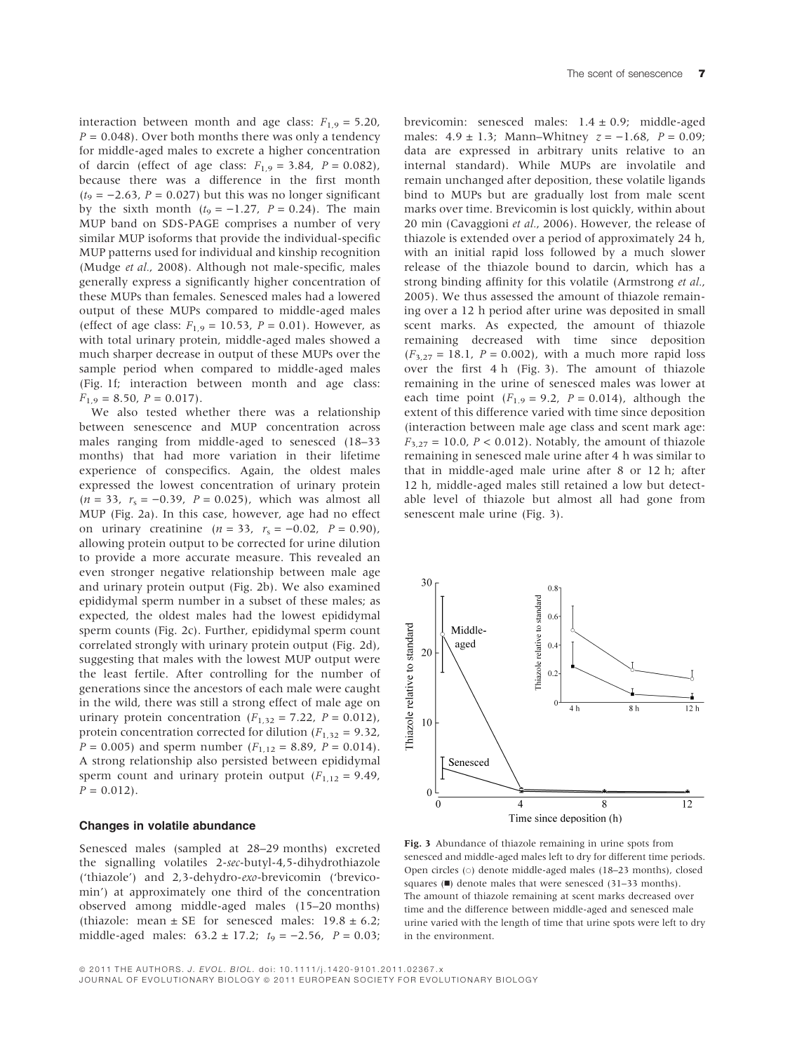interaction between month and age class:  $F_{1,9} = 5.20$ ,  $P = 0.048$ ). Over both months there was only a tendency for middle-aged males to excrete a higher concentration of darcin (effect of age class:  $F_{1,9} = 3.84$ ,  $P = 0.082$ ), because there was a difference in the first month  $(t_9 = -2.63, P = 0.027)$  but this was no longer significant by the sixth month  $(t_9 = -1.27, P = 0.24)$ . The main MUP band on SDS-PAGE comprises a number of very similar MUP isoforms that provide the individual-specific MUP patterns used for individual and kinship recognition (Mudge et al., 2008). Although not male-specific, males generally express a significantly higher concentration of these MUPs than females. Senesced males had a lowered output of these MUPs compared to middle-aged males (effect of age class:  $F_{1,9} = 10.53$ ,  $P = 0.01$ ). However, as with total urinary protein, middle-aged males showed a much sharper decrease in output of these MUPs over the sample period when compared to middle-aged males (Fig. 1f; interaction between month and age class:  $F_{1,9} = 8.50, P = 0.017$ .

We also tested whether there was a relationship between senescence and MUP concentration across males ranging from middle-aged to senesced (18–33 months) that had more variation in their lifetime experience of conspecifics. Again, the oldest males expressed the lowest concentration of urinary protein  $(n = 33, r_s = -0.39, P = 0.025)$ , which was almost all MUP (Fig. 2a). In this case, however, age had no effect on urinary creatinine ( $n = 33$ ,  $r_s = -0.02$ ,  $P = 0.90$ ), allowing protein output to be corrected for urine dilution to provide a more accurate measure. This revealed an even stronger negative relationship between male age and urinary protein output (Fig. 2b). We also examined epididymal sperm number in a subset of these males; as expected, the oldest males had the lowest epididymal sperm counts (Fig. 2c). Further, epididymal sperm count correlated strongly with urinary protein output (Fig. 2d), suggesting that males with the lowest MUP output were the least fertile. After controlling for the number of generations since the ancestors of each male were caught in the wild, there was still a strong effect of male age on urinary protein concentration  $(F_{1,32} = 7.22, P = 0.012)$ , protein concentration corrected for dilution ( $F_{1,32} = 9.32$ )  $P = 0.005$ ) and sperm number ( $F_{1,12} = 8.89$ ,  $P = 0.014$ ). A strong relationship also persisted between epididymal sperm count and urinary protein output  $(F_{1,12} = 9.49)$ ,  $P = 0.012$ .

#### Changes in volatile abundance

Senesced males (sampled at 28–29 months) excreted the signalling volatiles 2-sec-butyl-4,5-dihydrothiazole ('thiazole') and 2,3-dehydro-exo-brevicomin ('brevicomin') at approximately one third of the concentration observed among middle-aged males (15–20 months) (thiazole: mean  $\pm$  SE for senesced males: 19.8  $\pm$  6.2; middle-aged males:  $63.2 \pm 17.2$ ;  $t_9 = -2.56$ ,  $P = 0.03$ ;

brevicomin: senesced males: 1.4 ± 0.9; middle-aged males:  $4.9 \pm 1.3$ ; Mann–Whitney  $z = -1.68$ ,  $P = 0.09$ ; data are expressed in arbitrary units relative to an internal standard). While MUPs are involatile and remain unchanged after deposition, these volatile ligands bind to MUPs but are gradually lost from male scent marks over time. Brevicomin is lost quickly, within about 20 min (Cavaggioni et al., 2006). However, the release of thiazole is extended over a period of approximately 24 h, with an initial rapid loss followed by a much slower release of the thiazole bound to darcin, which has a strong binding affinity for this volatile (Armstrong et al., 2005). We thus assessed the amount of thiazole remaining over a 12 h period after urine was deposited in small scent marks. As expected, the amount of thiazole remaining decreased with time since deposition  $(F_{3,27} = 18.1, P = 0.002)$ , with a much more rapid loss over the first 4 h (Fig. 3). The amount of thiazole remaining in the urine of senesced males was lower at each time point  $(F_{1.9} = 9.2, P = 0.014)$ , although the extent of this difference varied with time since deposition (interaction between male age class and scent mark age:  $F_{3,27} = 10.0$ ,  $P < 0.012$ ). Notably, the amount of thiazole remaining in senesced male urine after 4 h was similar to that in middle-aged male urine after 8 or 12 h; after 12 h, middle-aged males still retained a low but detectable level of thiazole but almost all had gone from senescent male urine (Fig. 3).



Fig. 3 Abundance of thiazole remaining in urine spots from senesced and middle-aged males left to dry for different time periods. Open circles (o) denote middle-aged males (18–23 months), closed squares  $(\blacksquare)$  denote males that were senesced (31–33 months). The amount of thiazole remaining at scent marks decreased over time and the difference between middle-aged and senesced male urine varied with the length of time that urine spots were left to dry in the environment.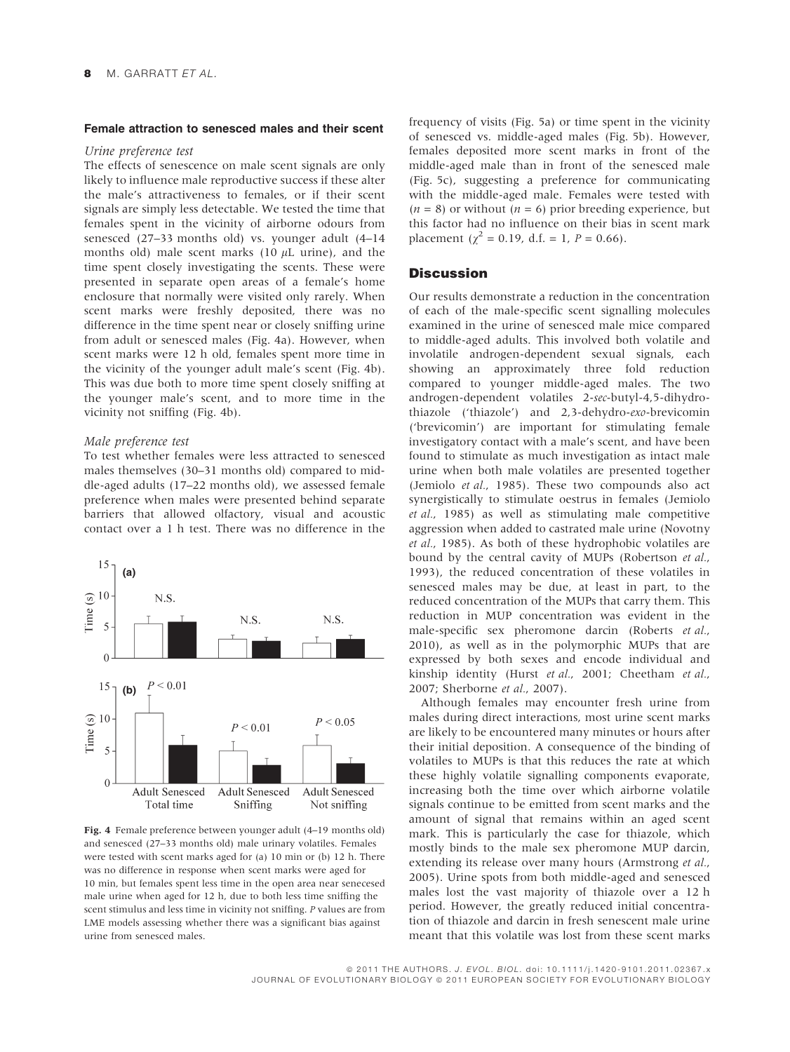#### Female attraction to senesced males and their scent

### Urine preference test

The effects of senescence on male scent signals are only likely to influence male reproductive success if these alter the male's attractiveness to females, or if their scent signals are simply less detectable. We tested the time that females spent in the vicinity of airborne odours from senesced (27–33 months old) vs. younger adult (4–14 months old) male scent marks  $(10 \mu L \text{ urine})$ , and the time spent closely investigating the scents. These were presented in separate open areas of a female's home enclosure that normally were visited only rarely. When scent marks were freshly deposited, there was no difference in the time spent near or closely sniffing urine from adult or senesced males (Fig. 4a). However, when scent marks were 12 h old, females spent more time in the vicinity of the younger adult male's scent (Fig. 4b). This was due both to more time spent closely sniffing at the younger male's scent, and to more time in the vicinity not sniffing (Fig. 4b).

#### Male preference test

To test whether females were less attracted to senesced males themselves (30–31 months old) compared to middle-aged adults (17–22 months old), we assessed female preference when males were presented behind separate barriers that allowed olfactory, visual and acoustic contact over a 1 h test. There was no difference in the



Fig. 4 Female preference between younger adult (4–19 months old) and senesced (27–33 months old) male urinary volatiles. Females were tested with scent marks aged for (a) 10 min or (b) 12 h. There was no difference in response when scent marks were aged for 10 min, but females spent less time in the open area near senecesed male urine when aged for 12 h, due to both less time sniffing the scent stimulus and less time in vicinity not sniffing. P values are from LME models assessing whether there was a significant bias against urine from senesced males.

frequency of visits (Fig. 5a) or time spent in the vicinity of senesced vs. middle-aged males (Fig. 5b). However, females deposited more scent marks in front of the middle-aged male than in front of the senesced male (Fig. 5c), suggesting a preference for communicating with the middle-aged male. Females were tested with  $(n = 8)$  or without  $(n = 6)$  prior breeding experience, but this factor had no influence on their bias in scent mark placement ( $\gamma^2 = 0.19$ , d.f. = 1, P = 0.66).

#### **Discussion**

Our results demonstrate a reduction in the concentration of each of the male-specific scent signalling molecules examined in the urine of senesced male mice compared to middle-aged adults. This involved both volatile and involatile androgen-dependent sexual signals, each showing an approximately three fold reduction compared to younger middle-aged males. The two androgen-dependent volatiles 2-sec-butyl-4,5-dihydrothiazole ('thiazole') and 2,3-dehydro-exo-brevicomin ('brevicomin') are important for stimulating female investigatory contact with a male's scent, and have been found to stimulate as much investigation as intact male urine when both male volatiles are presented together (Jemiolo et al., 1985). These two compounds also act synergistically to stimulate oestrus in females (Jemiolo et al., 1985) as well as stimulating male competitive aggression when added to castrated male urine (Novotny et al., 1985). As both of these hydrophobic volatiles are bound by the central cavity of MUPs (Robertson et al., 1993), the reduced concentration of these volatiles in senesced males may be due, at least in part, to the reduced concentration of the MUPs that carry them. This reduction in MUP concentration was evident in the male-specific sex pheromone darcin (Roberts et al., 2010), as well as in the polymorphic MUPs that are expressed by both sexes and encode individual and kinship identity (Hurst et al., 2001; Cheetham et al., 2007; Sherborne et al., 2007).

Although females may encounter fresh urine from males during direct interactions, most urine scent marks are likely to be encountered many minutes or hours after their initial deposition. A consequence of the binding of volatiles to MUPs is that this reduces the rate at which these highly volatile signalling components evaporate, increasing both the time over which airborne volatile signals continue to be emitted from scent marks and the amount of signal that remains within an aged scent mark. This is particularly the case for thiazole, which mostly binds to the male sex pheromone MUP darcin, extending its release over many hours (Armstrong et al., 2005). Urine spots from both middle-aged and senesced males lost the vast majority of thiazole over a 12 h period. However, the greatly reduced initial concentration of thiazole and darcin in fresh senescent male urine meant that this volatile was lost from these scent marks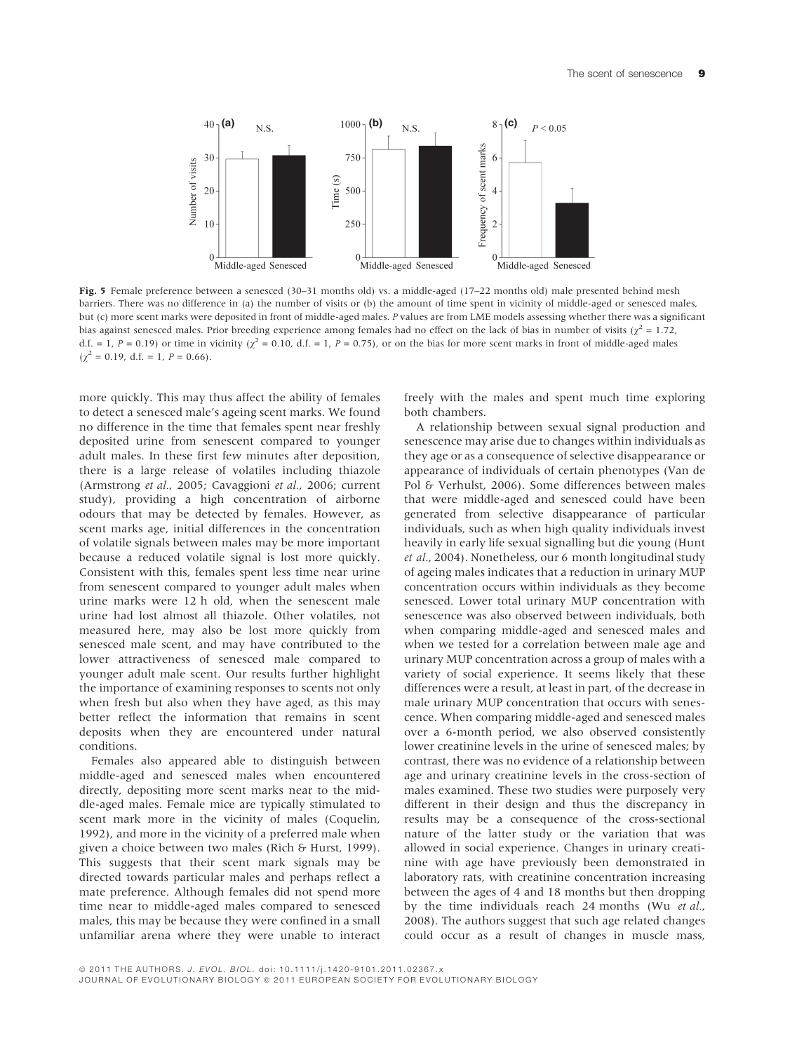

Fig. 5 Female preference between a senesced (30–31 months old) vs. a middle-aged (17–22 months old) male presented behind mesh barriers. There was no difference in (a) the number of visits or (b) the amount of time spent in vicinity of middle-aged or senesced males, but (c) more scent marks were deposited in front of middle-aged males. P values are from LME models assessing whether there was a significant bias against senesced males. Prior breeding experience among females had no effect on the lack of bias in number of visits ( $\chi^2$  = 1.72, d.f. = 1, P = 0.19) or time in vicinity ( $\chi^2$  = 0.10, d.f. = 1, P = 0.75), or on the bias for more scent marks in front of middle-aged males  $(\chi^2 = 0.19, d.f. = 1, P = 0.66).$ 

more quickly. This may thus affect the ability of females to detect a senesced male's ageing scent marks. We found no difference in the time that females spent near freshly deposited urine from senescent compared to younger adult males. In these first few minutes after deposition, there is a large release of volatiles including thiazole (Armstrong et al., 2005; Cavaggioni et al., 2006; current study), providing a high concentration of airborne odours that may be detected by females. However, as scent marks age, initial differences in the concentration of volatile signals between males may be more important because a reduced volatile signal is lost more quickly. Consistent with this, females spent less time near urine from senescent compared to younger adult males when urine marks were 12 h old, when the senescent male urine had lost almost all thiazole. Other volatiles, not measured here, may also be lost more quickly from senesced male scent, and may have contributed to the lower attractiveness of senesced male compared to younger adult male scent. Our results further highlight the importance of examining responses to scents not only when fresh but also when they have aged, as this may better reflect the information that remains in scent deposits when they are encountered under natural conditions.

Females also appeared able to distinguish between middle-aged and senesced males when encountered directly, depositing more scent marks near to the middle-aged males. Female mice are typically stimulated to scent mark more in the vicinity of males (Coquelin, 1992), and more in the vicinity of a preferred male when given a choice between two males (Rich & Hurst, 1999). This suggests that their scent mark signals may be directed towards particular males and perhaps reflect a mate preference. Although females did not spend more time near to middle-aged males compared to senesced males, this may be because they were confined in a small unfamiliar arena where they were unable to interact freely with the males and spent much time exploring both chambers.

A relationship between sexual signal production and senescence may arise due to changes within individuals as they age or as a consequence of selective disappearance or appearance of individuals of certain phenotypes (Van de Pol & Verhulst, 2006). Some differences between males that were middle-aged and senesced could have been generated from selective disappearance of particular individuals, such as when high quality individuals invest heavily in early life sexual signalling but die young (Hunt et al., 2004). Nonetheless, our 6 month longitudinal study of ageing males indicates that a reduction in urinary MUP concentration occurs within individuals as they become senesced. Lower total urinary MUP concentration with senescence was also observed between individuals, both when comparing middle-aged and senesced males and when we tested for a correlation between male age and urinary MUP concentration across a group of males with a variety of social experience. It seems likely that these differences were a result, at least in part, of the decrease in male urinary MUP concentration that occurs with senescence. When comparing middle-aged and senesced males over a 6-month period, we also observed consistently lower creatinine levels in the urine of senesced males; by contrast, there was no evidence of a relationship between age and urinary creatinine levels in the cross-section of males examined. These two studies were purposely very different in their design and thus the discrepancy in results may be a consequence of the cross-sectional nature of the latter study or the variation that was allowed in social experience. Changes in urinary creatinine with age have previously been demonstrated in laboratory rats, with creatinine concentration increasing between the ages of 4 and 18 months but then dropping by the time individuals reach 24 months (Wu et al., 2008). The authors suggest that such age related changes could occur as a result of changes in muscle mass,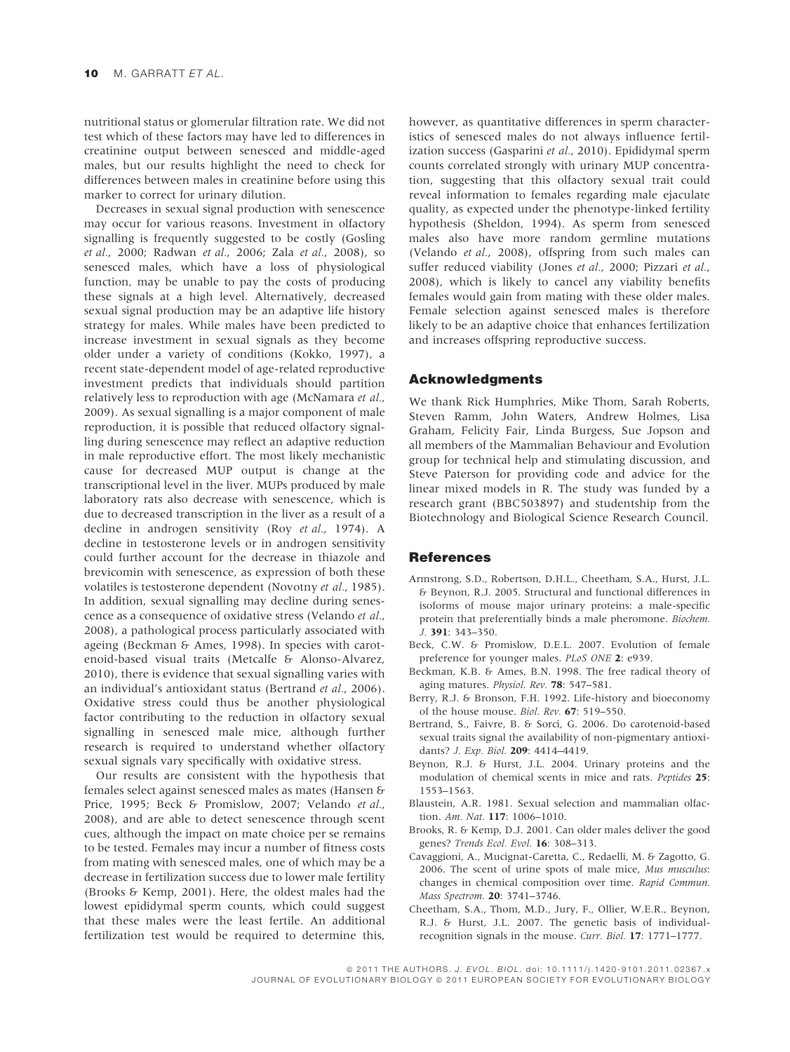nutritional status or glomerular filtration rate. We did not test which of these factors may have led to differences in creatinine output between senesced and middle-aged males, but our results highlight the need to check for differences between males in creatinine before using this marker to correct for urinary dilution.

Decreases in sexual signal production with senescence may occur for various reasons. Investment in olfactory signalling is frequently suggested to be costly (Gosling et al., 2000; Radwan et al., 2006; Zala et al., 2008), so senesced males, which have a loss of physiological function, may be unable to pay the costs of producing these signals at a high level. Alternatively, decreased sexual signal production may be an adaptive life history strategy for males. While males have been predicted to increase investment in sexual signals as they become older under a variety of conditions (Kokko, 1997), a recent state-dependent model of age-related reproductive investment predicts that individuals should partition relatively less to reproduction with age (McNamara et al., 2009). As sexual signalling is a major component of male reproduction, it is possible that reduced olfactory signalling during senescence may reflect an adaptive reduction in male reproductive effort. The most likely mechanistic cause for decreased MUP output is change at the transcriptional level in the liver. MUPs produced by male laboratory rats also decrease with senescence, which is due to decreased transcription in the liver as a result of a decline in androgen sensitivity (Roy et al., 1974). A decline in testosterone levels or in androgen sensitivity could further account for the decrease in thiazole and brevicomin with senescence, as expression of both these volatiles is testosterone dependent (Novotny et al., 1985). In addition, sexual signalling may decline during senescence as a consequence of oxidative stress (Velando et al., 2008), a pathological process particularly associated with ageing (Beckman & Ames, 1998). In species with carotenoid-based visual traits (Metcalfe & Alonso-Alvarez, 2010), there is evidence that sexual signalling varies with an individual's antioxidant status (Bertrand et al., 2006). Oxidative stress could thus be another physiological factor contributing to the reduction in olfactory sexual signalling in senesced male mice, although further research is required to understand whether olfactory sexual signals vary specifically with oxidative stress.

Our results are consistent with the hypothesis that females select against senesced males as mates (Hansen & Price, 1995; Beck & Promislow, 2007; Velando et al., 2008), and are able to detect senescence through scent cues, although the impact on mate choice per se remains to be tested. Females may incur a number of fitness costs from mating with senesced males, one of which may be a decrease in fertilization success due to lower male fertility (Brooks & Kemp, 2001). Here, the oldest males had the lowest epididymal sperm counts, which could suggest that these males were the least fertile. An additional fertilization test would be required to determine this, however, as quantitative differences in sperm characteristics of senesced males do not always influence fertilization success (Gasparini et al., 2010). Epididymal sperm counts correlated strongly with urinary MUP concentration, suggesting that this olfactory sexual trait could reveal information to females regarding male ejaculate quality, as expected under the phenotype-linked fertility hypothesis (Sheldon, 1994). As sperm from senesced males also have more random germline mutations (Velando et al., 2008), offspring from such males can suffer reduced viability (Jones et al., 2000; Pizzari et al., 2008), which is likely to cancel any viability benefits females would gain from mating with these older males. Female selection against senesced males is therefore likely to be an adaptive choice that enhances fertilization and increases offspring reproductive success.

# Acknowledgments

We thank Rick Humphries, Mike Thom, Sarah Roberts, Steven Ramm, John Waters, Andrew Holmes, Lisa Graham, Felicity Fair, Linda Burgess, Sue Jopson and all members of the Mammalian Behaviour and Evolution group for technical help and stimulating discussion, and Steve Paterson for providing code and advice for the linear mixed models in R. The study was funded by a research grant (BBC503897) and studentship from the Biotechnology and Biological Science Research Council.

# **References**

- Armstrong, S.D., Robertson, D.H.L., Cheetham, S.A., Hurst, J.L. & Beynon, R.J. 2005. Structural and functional differences in isoforms of mouse major urinary proteins: a male-specific protein that preferentially binds a male pheromone. Biochem.  $J.$  391: 343–350.
- Beck, C.W. & Promislow, D.E.L. 2007. Evolution of female preference for younger males. PLoS ONE 2: e939.
- Beckman, K.B. & Ames, B.N. 1998. The free radical theory of aging matures. Physiol. Rev. 78: 547–581.
- Berry, R.J. & Bronson, F.H. 1992. Life-history and bioeconomy of the house mouse. Biol. Rev. 67: 519–550.
- Bertrand, S., Faivre, B. & Sorci, G. 2006. Do carotenoid-based sexual traits signal the availability of non-pigmentary antioxidants? *J. Exp. Biol.* **209**: 4414-4419.
- Beynon, R.J. & Hurst, J.L. 2004. Urinary proteins and the modulation of chemical scents in mice and rats. Peptides 25: 1553–1563.
- Blaustein, A.R. 1981. Sexual selection and mammalian olfaction. Am. Nat. 117: 1006–1010.
- Brooks, R. & Kemp, D.J. 2001. Can older males deliver the good genes? Trends Ecol. Evol. 16: 308–313.
- Cavaggioni, A., Mucignat-Caretta, C., Redaelli, M. & Zagotto, G. 2006. The scent of urine spots of male mice, Mus musculus: changes in chemical composition over time. Rapid Commun. Mass Spectrom. 20: 3741–3746.
- Cheetham, S.A., Thom, M.D., Jury, F., Ollier, W.E.R., Beynon, R.J. & Hurst, J.L. 2007. The genetic basis of individualrecognition signals in the mouse. Curr. Biol. 17: 1771–1777.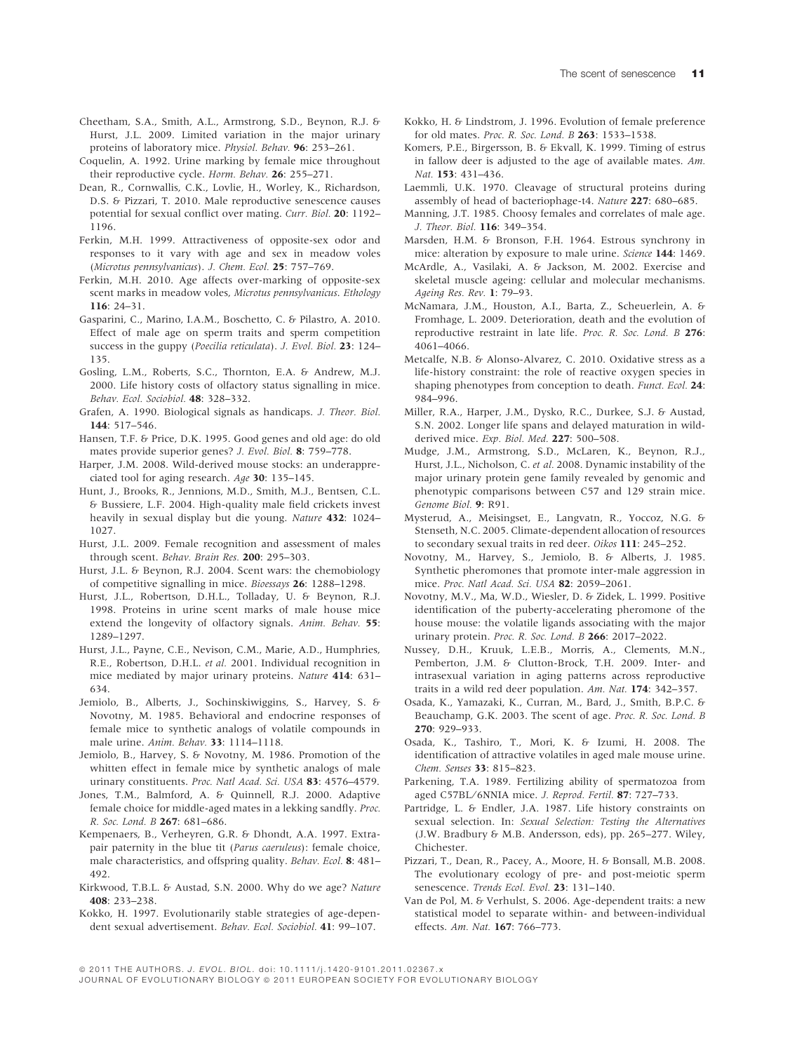- Cheetham, S.A., Smith, A.L., Armstrong, S.D., Beynon, R.J. & Hurst, J.L. 2009. Limited variation in the major urinary proteins of laboratory mice. Physiol. Behav. 96: 253–261.
- Coquelin, A. 1992. Urine marking by female mice throughout their reproductive cycle. Horm. Behav. 26: 255–271.
- Dean, R., Cornwallis, C.K., Lovlie, H., Worley, K., Richardson, D.S. & Pizzari, T. 2010. Male reproductive senescence causes potential for sexual conflict over mating. Curr. Biol. 20: 1192– 1196.
- Ferkin, M.H. 1999. Attractiveness of opposite-sex odor and responses to it vary with age and sex in meadow voles (Microtus pennsylvanicus). J. Chem. Ecol. 25: 757–769.
- Ferkin, M.H. 2010. Age affects over-marking of opposite-sex scent marks in meadow voles, Microtus pennsylvanicus. Ethology 116: 24–31.
- Gasparini, C., Marino, I.A.M., Boschetto, C. & Pilastro, A. 2010. Effect of male age on sperm traits and sperm competition success in the guppy (Poecilia reticulata). J. Evol. Biol. 23: 124-135.
- Gosling, L.M., Roberts, S.C., Thornton, E.A. & Andrew, M.J. 2000. Life history costs of olfactory status signalling in mice. Behav. Ecol. Sociobiol. 48: 328–332.
- Grafen, A. 1990. Biological signals as handicaps. J. Theor. Biol. 144: 517–546.
- Hansen, T.F. & Price, D.K. 1995. Good genes and old age: do old mates provide superior genes? J. Evol. Biol. 8: 759–778.
- Harper, J.M. 2008. Wild-derived mouse stocks: an underappreciated tool for aging research. Age 30: 135–145.
- Hunt, J., Brooks, R., Jennions, M.D., Smith, M.J., Bentsen, C.L. & Bussiere, L.F. 2004. High-quality male field crickets invest heavily in sexual display but die young. Nature 432: 1024– 1027.
- Hurst, J.L. 2009. Female recognition and assessment of males through scent. Behav. Brain Res. 200: 295–303.
- Hurst, J.L. & Beynon, R.J. 2004. Scent wars: the chemobiology of competitive signalling in mice. Bioessays 26: 1288–1298.
- Hurst, J.L., Robertson, D.H.L., Tolladay, U. & Beynon, R.J. 1998. Proteins in urine scent marks of male house mice extend the longevity of olfactory signals. Anim. Behav. 55: 1289–1297.
- Hurst, J.L., Payne, C.E., Nevison, C.M., Marie, A.D., Humphries, R.E., Robertson, D.H.L. et al. 2001. Individual recognition in mice mediated by major urinary proteins. Nature 414: 631– 634.
- Jemiolo, B., Alberts, J., Sochinskiwiggins, S., Harvey, S. & Novotny, M. 1985. Behavioral and endocrine responses of female mice to synthetic analogs of volatile compounds in male urine. Anim. Behav. 33: 1114–1118.
- Jemiolo, B., Harvey, S. & Novotny, M. 1986. Promotion of the whitten effect in female mice by synthetic analogs of male urinary constituents. Proc. Natl Acad. Sci. USA 83: 4576-4579.
- Jones, T.M., Balmford, A. & Quinnell, R.J. 2000. Adaptive female choice for middle-aged mates in a lekking sandfly. Proc. R. Soc. Lond. B 267: 681–686.
- Kempenaers, B., Verheyren, G.R. & Dhondt, A.A. 1997. Extrapair paternity in the blue tit (Parus caeruleus): female choice, male characteristics, and offspring quality. Behav. Ecol. 8: 481– 492.
- Kirkwood, T.B.L. & Austad, S.N. 2000. Why do we age? Nature 408: 233–238.
- Kokko, H. 1997. Evolutionarily stable strategies of age-dependent sexual advertisement. Behav. Ecol. Sociobiol. 41: 99–107.
- Kokko, H. & Lindstrom, J. 1996. Evolution of female preference for old mates. Proc. R. Soc. Lond. B 263: 1533–1538.
- Komers, P.E., Birgersson, B. & Ekvall, K. 1999. Timing of estrus in fallow deer is adjusted to the age of available mates. Am. Nat. 153: 431–436.
- Laemmli, U.K. 1970. Cleavage of structural proteins during assembly of head of bacteriophage-t4. Nature 227: 680–685.
- Manning, J.T. 1985. Choosy females and correlates of male age. J. Theor. Biol. 116: 349–354.
- Marsden, H.M. & Bronson, F.H. 1964. Estrous synchrony in mice: alteration by exposure to male urine. Science 144: 1469.
- McArdle, A., Vasilaki, A. & Jackson, M. 2002. Exercise and skeletal muscle ageing: cellular and molecular mechanisms. Ageing Res. Rev. 1: 79–93.
- McNamara, J.M., Houston, A.I., Barta, Z., Scheuerlein, A. & Fromhage, L. 2009. Deterioration, death and the evolution of reproductive restraint in late life. Proc. R. Soc. Lond. B 276: 4061–4066.
- Metcalfe, N.B. & Alonso-Alvarez, C. 2010. Oxidative stress as a life-history constraint: the role of reactive oxygen species in shaping phenotypes from conception to death. Funct. Ecol. 24: 984–996.
- Miller, R.A., Harper, J.M., Dysko, R.C., Durkee, S.J. & Austad, S.N. 2002. Longer life spans and delayed maturation in wildderived mice. Exp. Biol. Med. 227: 500-508.
- Mudge, J.M., Armstrong, S.D., McLaren, K., Beynon, R.J., Hurst, J.L., Nicholson, C. et al. 2008. Dynamic instability of the major urinary protein gene family revealed by genomic and phenotypic comparisons between C57 and 129 strain mice. Genome Biol. 9: R91.
- Mysterud, A., Meisingset, E., Langvatn, R., Yoccoz, N.G. & Stenseth, N.C. 2005. Climate-dependent allocation of resources to secondary sexual traits in red deer. Oikos 111: 245–252.
- Novotny, M., Harvey, S., Jemiolo, B. & Alberts, J. 1985. Synthetic pheromones that promote inter-male aggression in mice. Proc. Natl Acad. Sci. USA 82: 2059–2061.
- Novotny, M.V., Ma, W.D., Wiesler, D. & Zidek, L. 1999. Positive identification of the puberty-accelerating pheromone of the house mouse: the volatile ligands associating with the major urinary protein. Proc. R. Soc. Lond. B 266: 2017–2022.
- Nussey, D.H., Kruuk, L.E.B., Morris, A., Clements, M.N., Pemberton, J.M. & Clutton-Brock, T.H. 2009. Inter- and intrasexual variation in aging patterns across reproductive traits in a wild red deer population. Am. Nat. 174: 342–357.
- Osada, K., Yamazaki, K., Curran, M., Bard, J., Smith, B.P.C. & Beauchamp, G.K. 2003. The scent of age. Proc. R. Soc. Lond. B 270: 929–933.
- Osada, K., Tashiro, T., Mori, K. & Izumi, H. 2008. The identification of attractive volatiles in aged male mouse urine. Chem. Senses 33: 815–823.
- Parkening, T.A. 1989. Fertilizing ability of spermatozoa from aged C57BL/6NNIA mice. J. Reprod. Fertil. 87: 727-733.
- Partridge, L. & Endler, J.A. 1987. Life history constraints on sexual selection. In: Sexual Selection: Testing the Alternatives (J.W. Bradbury & M.B. Andersson, eds), pp. 265–277. Wiley, Chichester.
- Pizzari, T., Dean, R., Pacey, A., Moore, H. & Bonsall, M.B. 2008. The evolutionary ecology of pre- and post-meiotic sperm senescence. Trends Ecol. Evol. 23: 131-140.
- Van de Pol, M. & Verhulst, S. 2006. Age-dependent traits: a new statistical model to separate within- and between-individual effects. Am. Nat. 167: 766–773.

ª 2011 THE AUTHORS. J. EVOL. BIOL. doi: 10.1111/j.1420-9101.2011.02367.x

JOURNAL OF EVOLUTIONARY BIOLOGY @ 2011 EUROPEAN SOCIETY FOR EVOLUTIONARY BIOLOGY